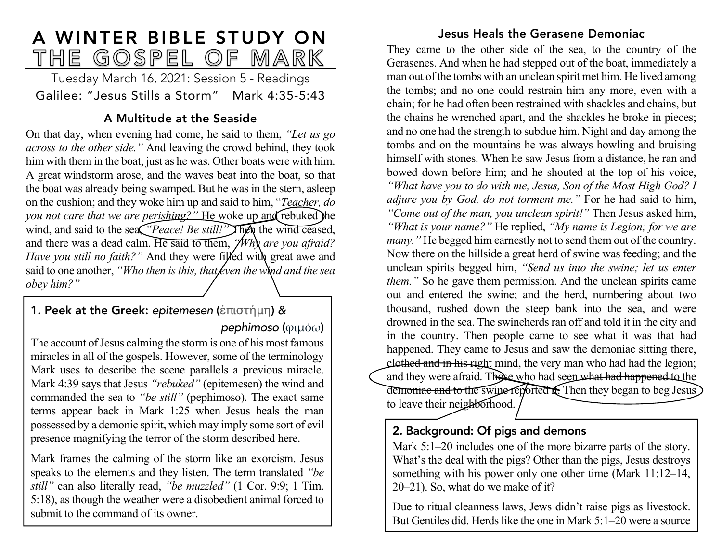# A WINTER BIBLE STUDY ON<br>THE GOSPEL OF MARK

Tuesday March 16, 2021: Session 5 - Readings Galilee: "Jesus Stills a Storm" Mark 4:35-5:43

# A Multitude at the Seaside

On that day, when evening had come, he said to them, *"Let us go across to the other side."* And leaving the crowd behind, they took him with them in the boat, just as he was. Other boats were with him. A great windstorm arose, and the waves beat into the boat, so that the boat was already being swamped. But he was in the stern, asleep on the cushion; and they woke him up and said to him, "*Teacher, do you not care that we are perishing?"* He woke up and rebuked the wind, and said to the sea, *"Peace! Be still!"* Then the wind ceased, and there was a dead calm. He said to them, *"Why are you afraid?*  Have you still no faith?" And they were filled with great awe and said to one another, *"Who then is this, that keen the wind and the sea obey him?"*

# 1. Peek at the Greek: *epitemesen* (ἐπιστήμη) *& pephimoso* (φιµόω)

The account of Jesus calming the storm is one of his most famous miracles in all of the gospels. However, some of the terminology Mark uses to describe the scene parallels a previous miracle. Mark 4:39 says that Jesus *"rebuked"* (epitemesen) the wind and commanded the sea to *"be still"* (pephimoso). The exact same terms appear back in Mark 1:25 when Jesus heals the man possessed by a demonic spirit, which may imply some sort of evil presence magnifying the terror of the storm described here.

Mark frames the calming of the storm like an exorcism. Jesus speaks to the elements and they listen. The term translated *"be still"* can also literally read, *"be muzzled"* (1 Cor. 9:9; 1 Tim. 5:18), as though the weather were a disobedient animal forced to submit to the command of its owner.

### Jesus Heals the Gerasene Demoniac

They came to the other side of the sea, to the country of the Gerasenes. And when he had stepped out of the boat, immediately a man out of the tombs with an unclean spirit met him. He lived among the tombs; and no one could restrain him any more, even with a chain; for he had often been restrained with shackles and chains, but the chains he wrenched apart, and the shackles he broke in pieces; and no one had the strength to subdue him. Night and day among the tombs and on the mountains he was always howling and bruising himself with stones. When he saw Jesus from a distance, he ran and bowed down before him; and he shouted at the top of his voice, *"What have you to do with me, Jesus, Son of the Most High God? I adjure you by God, do not torment me."* For he had said to him, *"Come out of the man, you unclean spirit!"* Then Jesus asked him, *"What is your name?"* He replied, *"My name is Legion; for we are many.*" He begged him earnestly not to send them out of the country. Now there on the hillside a great herd of swine was feeding; and the unclean spirits begged him, *"Send us into the swine; let us enter them.*" So he gave them permission. And the unclean spirits came out and entered the swine; and the herd, numbering about two thousand, rushed down the steep bank into the sea, and were drowned in the sea. The swineherds ran off and told it in the city and in the country. Then people came to see what it was that had happened. They came to Jesus and saw the demoniac sitting there, clothed and in his right mind, the very man who had had the legion; and they were afraid. Those who had seen what had happened to the demoniae and to the swine reported it. Then they began to beg Jesus to leave their neighborhood.

# 2. Background: Of pigs and demons

of income and income and income and income and income and income and income and income and income and income a<br>The company of the company of the company of the company of the company of the company of the company of the c

Mark 5:1–20 includes one of the more bizarre parts of the story. What's the deal with the pigs? Other than the pigs, Jesus destroys something with his power only one other time (Mark 11:12–14, 20–21). So, what do we make of it?

Due to ritual cleanness laws, Jews didn't raise pigs as livestock. But Gentiles did. Herds like the one in Mark 5:1–20 were a source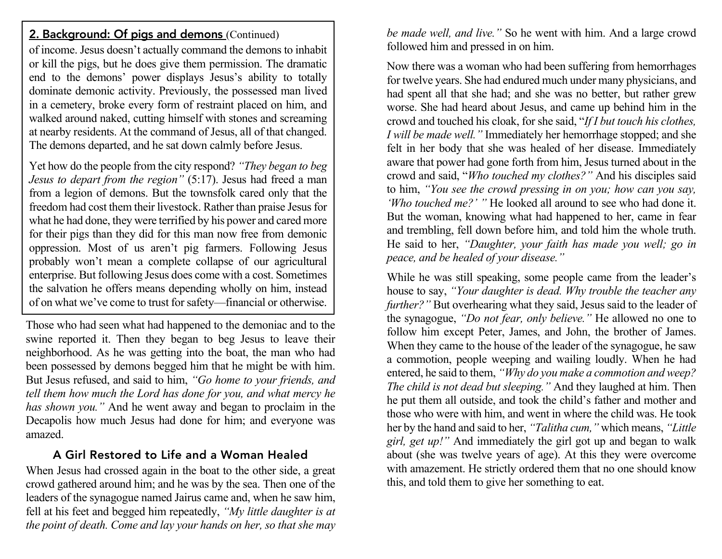### 2. Background: Of pigs and demons (Continued)

of income. Jesus doesn't actually command the demons to inhabit or kill the pigs, but he does give them permission. The dramatic end to the demons' power displays Jesus's ability to totally dominate demonic activity. Previously, the possessed man lived in a cemetery, broke every form of restraint placed on him, and walked around naked, cutting himself with stones and screaming at nearby residents. At the command of Jesus, all of that changed. The demons departed, and he sat down calmly before Jesus.

Yet how do the people from the city respond? *"They began to beg Jesus to depart from the region"* (5:17). Jesus had freed a man from a legion of demons. But the townsfolk cared only that the freedom had cost them their livestock. Rather than praise Jesus for what he had done, they were terrified by his power and cared more for their pigs than they did for this man now free from demonic oppression. Most of us aren't pig farmers. Following Jesus probably won't mean a complete collapse of our agricultural enterprise. But following Jesus does come with a cost. Sometimes the salvation he offers means depending wholly on him, instead of on what we've come to trust for safety—financial or otherwise.

Those who had seen what had happened to the demoniac and to the swine reported it. Then they began to beg Jesus to leave their neighborhood. As he was getting into the boat, the man who had been possessed by demons begged him that he might be with him. But Jesus refused, and said to him, *"Go home to your friends, and tell them how much the Lord has done for you, and what mercy he has shown you."* And he went away and began to proclaim in the Decapolis how much Jesus had done for him; and everyone was amazed.

# A Girl Restored to Life and a Woman Healed

When Jesus had crossed again in the boat to the other side, a great crowd gathered around him; and he was by the sea. Then one of the leaders of the synagogue named Jairus came and, when he saw him, fell at his feet and begged him repeatedly, *"My little daughter is at the point of death. Come and lay your hands on her, so that she may* *be made well, and live."* So he went with him. And a large crowd followed him and pressed in on him.

Now there was a woman who had been suffering from hemorrhages for twelve years. She had endured much under many physicians, and had spent all that she had; and she was no better, but rather grew worse. She had heard about Jesus, and came up behind him in the crowd and touched his cloak, for she said, "*If I but touch his clothes, I will be made well."* Immediately her hemorrhage stopped; and she felt in her body that she was healed of her disease. Immediately aware that power had gone forth from him, Jesus turned about in the crowd and said, "*Who touched my clothes?"* And his disciples said to him, *"You see the crowd pressing in on you; how can you say, 'Who touched me?' "* He looked all around to see who had done it. But the woman, knowing what had happened to her, came in fear and trembling, fell down before him, and told him the whole truth. He said to her, *"Daughter, your faith has made you well; go in peace, and be healed of your disease."*

While he was still speaking, some people came from the leader's house to say, *"Your daughter is dead. Why trouble the teacher any further?"* But overhearing what they said, Jesus said to the leader of the synagogue, *"Do not fear, only believe."* He allowed no one to follow him except Peter, James, and John, the brother of James. When they came to the house of the leader of the synagogue, he saw a commotion, people weeping and wailing loudly. When he had entered, he said to them, *"Why do you make a commotion and weep? The child is not dead but sleeping."* And they laughed at him. Then he put them all outside, and took the child's father and mother and those who were with him, and went in where the child was. He took her by the hand and said to her, *"Talitha cum,"* which means, *"Little girl, get up!"* And immediately the girl got up and began to walk about (she was twelve years of age). At this they were overcome with amazement. He strictly ordered them that no one should know this, and told them to give her something to eat.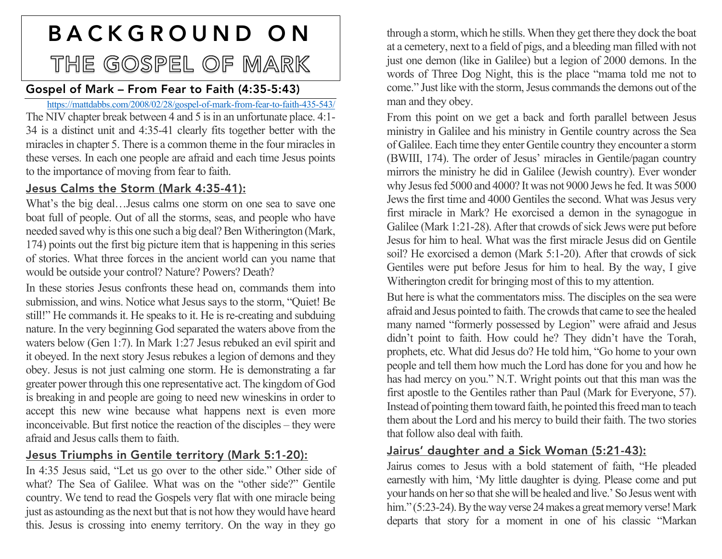# BACKGROUND ON THE GOSPEL OF MARK

# Gospel of Mark – From Fear to Faith (4:35-5:43)

https://mattdabbs.com/2008/02/28/gospel-of-mark-from-fear-to-faith-435-543/ The NIV chapter break between 4 and 5 is in an unfortunate place. 4:1- 34 is a distinct unit and 4:35-41 clearly fits together better with the miracles in chapter 5. There is a common theme in the four miracles in these verses. In each one people are afraid and each time Jesus points to the importance of moving from fear to faith.

### Jesus Calms the Storm (Mark 4:35-41):

What's the big deal…Jesus calms one storm on one sea to save one boat full of people. Out of all the storms, seas, and people who have needed saved why is this one such a big deal? Ben Witherington (Mark, 174) points out the first big picture item that is happening in this series of stories. What three forces in the ancient world can you name that would be outside your control? Nature? Powers? Death?

In these stories Jesus confronts these head on, commands them into submission, and wins. Notice what Jesus says to the storm, "Quiet! Be still!" He commands it. He speaks to it. He is re-creating and subduing nature. In the very beginning God separated the waters above from the waters below (Gen 1:7). In Mark 1:27 Jesus rebuked an evil spirit and it obeyed. In the next story Jesus rebukes a legion of demons and they obey. Jesus is not just calming one storm. He is demonstrating a far greater power through this one representative act. The kingdom of God is breaking in and people are going to need new wineskins in order to accept this new wine because what happens next is even more inconceivable. But first notice the reaction of the disciples – they were afraid and Jesus calls them to faith.

### Jesus Triumphs in Gentile territory (Mark 5:1-20):

In 4:35 Jesus said, "Let us go over to the other side." Other side of what? The Sea of Galilee. What was on the "other side?" Gentile country. We tend to read the Gospels very flat with one miracle being just as astounding as the next but that is not how they would have heard this. Jesus is crossing into enemy territory. On the way in they go

through a storm, which he stills. When they get there they dock the boat at a cemetery, next to a field of pigs, and a bleeding man filled with not just one demon (like in Galilee) but a legion of 2000 demons. In the words of Three Dog Night, this is the place "mama told me not to come." Just like with the storm, Jesus commands the demons out of the man and they obey.

From this point on we get a back and forth parallel between Jesus ministry in Galilee and his ministry in Gentile country across the Sea of Galilee. Each time they enter Gentile country they encounter a storm (BWIII, 174). The order of Jesus' miracles in Gentile/pagan country mirrors the ministry he did in Galilee (Jewish country). Ever wonder why Jesus fed 5000 and 4000? It was not 9000 Jews he fed. It was 5000 Jews the first time and 4000 Gentiles the second. What was Jesus very first miracle in Mark? He exorcised a demon in the synagogue in Galilee (Mark 1:21-28). After that crowds of sick Jews were put before Jesus for him to heal. What was the first miracle Jesus did on Gentile soil? He exorcised a demon (Mark 5:1-20). After that crowds of sick Gentiles were put before Jesus for him to heal. By the way, I give Witherington credit for bringing most of this to my attention.

But here is what the commentators miss. The disciples on the sea were afraid and Jesus pointed to faith. The crowds that came to see the healed many named "formerly possessed by Legion" were afraid and Jesus didn't point to faith. How could he? They didn't have the Torah, prophets, etc. What did Jesus do? He told him, "Go home to your own people and tell them how much the Lord has done for you and how he has had mercy on you." N.T. Wright points out that this man was the first apostle to the Gentiles rather than Paul (Mark for Everyone, 57). Instead of pointing them toward faith, he pointed this freed man to teach them about the Lord and his mercy to build their faith. The two stories that follow also deal with faith.

### Jairus' daughter and a Sick Woman (5:21-43):

Jairus comes to Jesus with a bold statement of faith, "He pleaded earnestly with him, 'My little daughter is dying. Please come and put your hands on her so that she will be healed and live.' So Jesus went with him." (5:23-24). By the way verse 24 makes a great memory verse! Mark departs that story for a moment in one of his classic "Markan